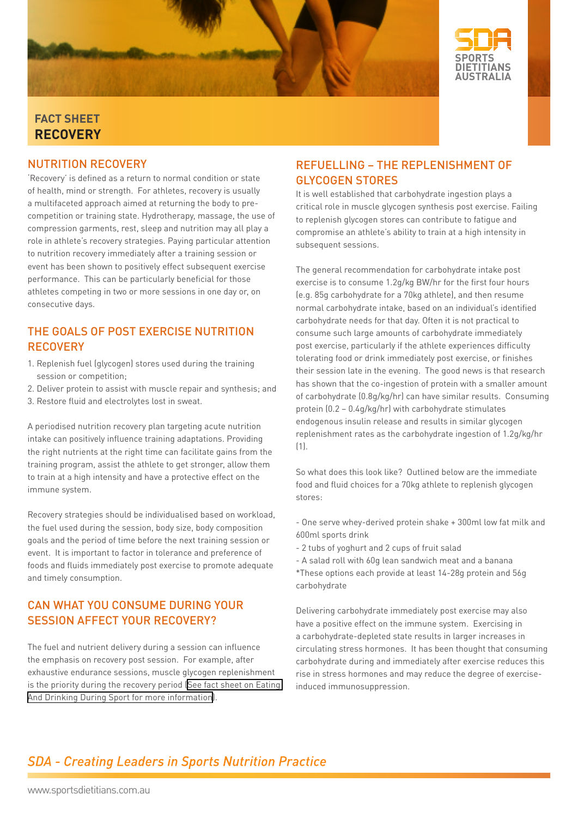



#### **fact sheet RECOVERY**

#### Nutrition recovery

'Recovery' is defined as a return to normal condition or state of health, mind or strength. For athletes, recovery is usually a multifaceted approach aimed at returning the body to precompetition or training state. Hydrotherapy, massage, the use of compression garments, rest, sleep and nutrition may all play a role in athlete's recovery strategies. Paying particular attention to nutrition recovery immediately after a training session or event has been shown to positively effect subsequent exercise performance. This can be particularly beneficial for those athletes competing in two or more sessions in one day or, on consecutive days.

### The Goals of Post Exercise Nutrition **RECOVERY**

- 1. Replenish fuel (glycogen) stores used during the training session or competition;
- 2. Deliver protein to assist with muscle repair and synthesis; and
- 3. Restore fluid and electrolytes lost in sweat.

A periodised nutrition recovery plan targeting acute nutrition intake can positively influence training adaptations. Providing the right nutrients at the right time can facilitate gains from the training program, assist the athlete to get stronger, allow them to train at a high intensity and have a protective effect on the immune system.

Recovery strategies should be individualised based on workload, the fuel used during the session, body size, body composition goals and the period of time before the next training session or event. It is important to factor in tolerance and preference of foods and fluids immediately post exercise to promote adequate and timely consumption.

#### Can what you consume during your session affect your recovery?

The fuel and nutrient delivery during a session can influence the emphasis on recovery post session. For example, after exhaustive endurance sessions, muscle glycogen replenishment is the priority during the recovery period [\(See fact sheet on Eating](http://www.sportsdietitians.com.au/DuringSport/)  [And Drinking During Sport for more information\)](http://www.sportsdietitians.com.au/DuringSport/).

#### Refuelling – The Replenishment of Glycogen Stores

It is well established that carbohydrate ingestion plays a critical role in muscle glycogen synthesis post exercise. Failing to replenish glycogen stores can contribute to fatigue and compromise an athlete's ability to train at a high intensity in subsequent sessions.

The general recommendation for carbohydrate intake post exercise is to consume 1.2g/kg BW/hr for the first four hours (e.g. 85g carbohydrate for a 70kg athlete), and then resume normal carbohydrate intake, based on an individual's identified carbohydrate needs for that day. Often it is not practical to consume such large amounts of carbohydrate immediately post exercise, particularly if the athlete experiences difficulty tolerating food or drink immediately post exercise, or finishes their session late in the evening. The good news is that research has shown that the co-ingestion of protein with a smaller amount of carbohydrate (0.8g/kg/hr) can have similar results. Consuming protein (0.2 – 0.4g/kg/hr) with carbohydrate stimulates endogenous insulin release and results in similar glycogen replenishment rates as the carbohydrate ingestion of 1.2g/kg/hr (1).

So what does this look like? Outlined below are the immediate food and fluid choices for a 70kg athlete to replenish glycogen stores:

- One serve whey-derived protein shake + 300ml low fat milk and 600ml sports drink
- 2 tubs of yoghurt and 2 cups of fruit salad
- A salad roll with 60g lean sandwich meat and a banana
- \*These options each provide at least 14-28g protein and 56g carbohydrate

Delivering carbohydrate immediately post exercise may also have a positive effect on the immune system. Exercising in a carbohydrate-depleted state results in larger increases in circulating stress hormones. It has been thought that consuming carbohydrate during and immediately after exercise reduces this rise in stress hormones and may reduce the degree of exerciseinduced immunosuppression.

# **SDA - Creating Leaders in Sports Nutrition Practice**